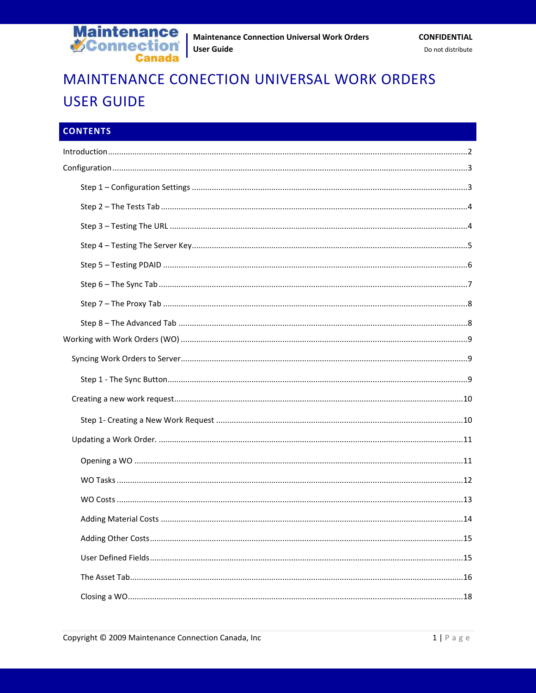

# MAINTENANCE CONECTION UNIVERSAL WORK ORDERS **USER GUIDE**

| <b>CONTENTS</b> |  |
|-----------------|--|
|                 |  |
|                 |  |
|                 |  |
|                 |  |
|                 |  |
|                 |  |
|                 |  |
|                 |  |
|                 |  |
|                 |  |
|                 |  |
|                 |  |
|                 |  |
|                 |  |
|                 |  |
|                 |  |
|                 |  |
|                 |  |
|                 |  |
|                 |  |
|                 |  |
|                 |  |
|                 |  |
|                 |  |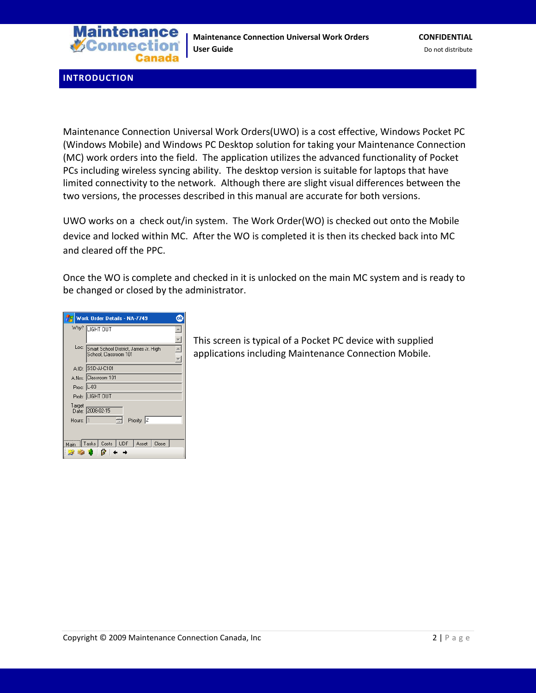

<span id="page-1-0"></span>**INTRODUCTION**

Maintenance Connection Universal Work Orders(UWO) is a cost effective, Windows Pocket PC (Windows Mobile) and Windows PC Desktop solution for taking your Maintenance Connection (MC) work orders into the field. The application utilizes the advanced functionality of Pocket PCs including wireless syncing ability. The desktop version is suitable for laptops that have limited connectivity to the network. Although there are slight visual differences between the two versions, the processes described in this manual are accurate for both versions.

UWO works on a check out/in system. The Work Order(WO) is checked out onto the Mobile device and locked within MC. After the WO is completed it is then its checked back into MC and cleared off the PPC.

Once the WO is complete and checked in it is unlocked on the main MC system and is ready to be changed or closed by the administrator.

|            | Work Order Details - NA-7749                                        |
|------------|---------------------------------------------------------------------|
|            | Why? LIGHT OUT                                                      |
|            | Loc: Smart School District, James Jr. High<br>School, Classroom 101 |
|            | A.ID: SSD-JJ-C101                                                   |
|            | A.Nm: Classroom 101                                                 |
| Proc: L-03 |                                                                     |
|            | Prob: LIGHT OUT                                                     |
| Target     | Date: 2008-02-15                                                    |
| Hours: 1   | Priority: 2                                                         |
|            |                                                                     |
| Main       | Tasks   Costs   UDF<br>  Asset   Close<br><b>2000</b>               |

This screen is typical of a Pocket PC device with supplied applications including Maintenance Connection Mobile.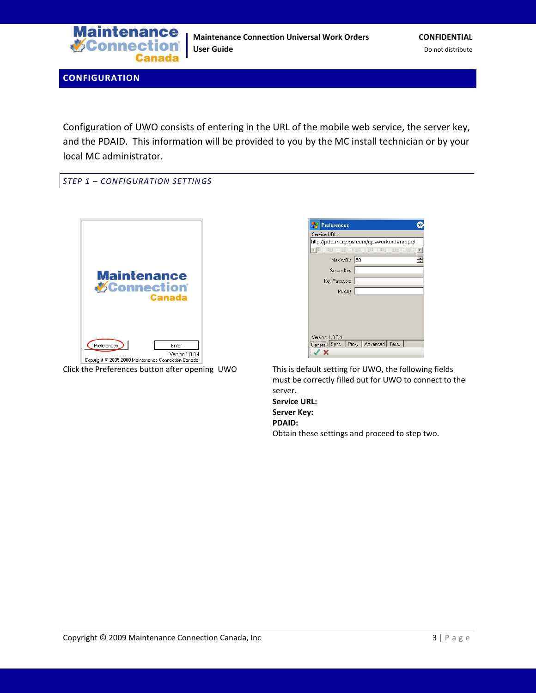

<span id="page-2-0"></span>**CONFIGURATION**

Configuration of UWO consists of entering in the URL of the mobile web service, the server key, and the PDAID. This information will be provided to you by the MC install technician or by your local MC administrator.

<span id="page-2-1"></span>*STEP 1 – CONFIGURATION SETTINGS*





Click the Preferences button after opening UWO This is default setting for UWO, the following fields must be correctly filled out for UWO to connect to the server. **Service URL:**

**Server Key: PDAID:** Obtain these settings and proceed to step two.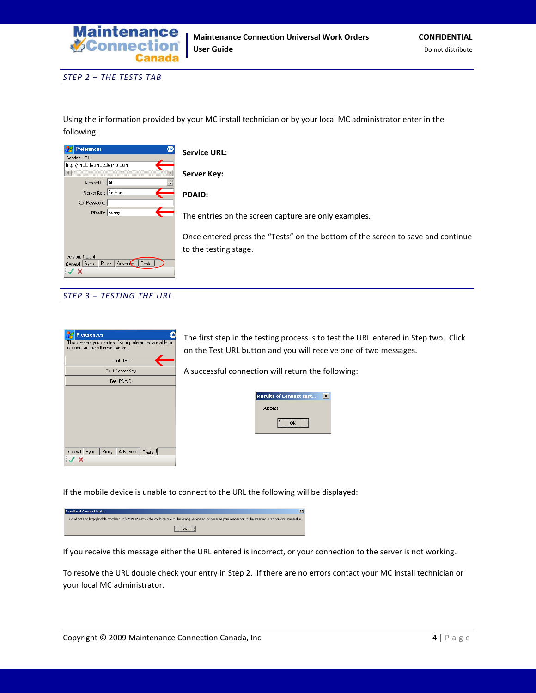

<span id="page-3-0"></span>*STEP 2 – THE TESTS TAB*

Using the information provided by your MC install technician or by your local MC administrator enter in the following:

| <b>Service URL:</b>                                                             |
|---------------------------------------------------------------------------------|
|                                                                                 |
|                                                                                 |
| <b>Server Key:</b>                                                              |
|                                                                                 |
| <b>PDAID:</b>                                                                   |
|                                                                                 |
| The entries on the screen capture are only examples.                            |
|                                                                                 |
| Once entered press the "Tests" on the bottom of the screen to save and continue |
|                                                                                 |
| to the testing stage.                                                           |
|                                                                                 |
|                                                                                 |
|                                                                                 |
|                                                                                 |

<span id="page-3-1"></span>*STEP 3 – TESTING THE URL*

| <b>Preferences</b>                                                                            |
|-----------------------------------------------------------------------------------------------|
| This is where you can test if your preferences are able to<br>connect and use the web server. |
| Test URL                                                                                      |
| Test Server Key                                                                               |
| Test PDAID                                                                                    |
|                                                                                               |
|                                                                                               |
|                                                                                               |
|                                                                                               |
|                                                                                               |
|                                                                                               |
| General Sync Proxy   Advanced Tests                                                           |
|                                                                                               |

The first step in the testing process is to test the URL entered in Step two. Click on the Test URL button and you will receive one of two messages.

A successful connection will return the following:

| <b>Results of Connect test</b> |  |
|--------------------------------|--|
| <b>Success</b>                 |  |
|                                |  |

If the mobile device is unable to connect to the URL the following will be displayed:

**Results of Connect test...** Could not find http://mobile.mccdemo.co/PPCWO2.asmx - this could be due to the wrong ServiceURL or because your connection to the Internet is temporarily unavailable.  $\boxed{\begin{array}{c} \text{OK} \end{array}}$ 

If you receive this message either the URL entered is incorrect, or your connection to the server is not working.

To resolve the URL double check your entry in Step 2. If there are no errors contact your MC install technician or your local MC administrator.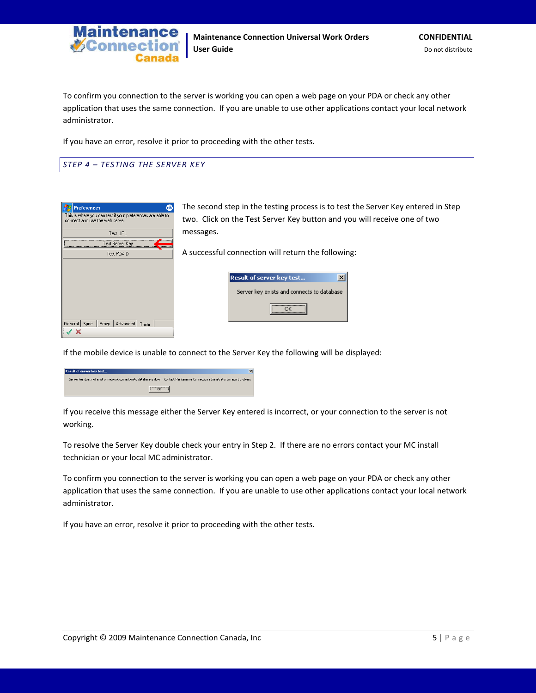

To confirm you connection to the server is working you can open a web page on your PDA or check any other application that uses the same connection. If you are unable to use other applications contact your local network administrator.

If you have an error, resolve it prior to proceeding with the other tests.

# <span id="page-4-0"></span>*STEP 4 – TESTING THE SERVER KEY*

| ◍<br><b>Preferences</b><br>This is where you can test if your preferences are able to<br>connect and use the web server. | The second step in the testing process is to test the Server Key entered in Step<br>two. Click on the Test Server Key button and you will receive one of two |
|--------------------------------------------------------------------------------------------------------------------------|--------------------------------------------------------------------------------------------------------------------------------------------------------------|
| Test URL                                                                                                                 | messages.                                                                                                                                                    |
| Test Server Key<br>Test PDAID                                                                                            | A successful connection will return the following:                                                                                                           |
|                                                                                                                          | $\vert x \vert$<br><b>Result of server key test</b><br>Server key exists and connects to database                                                            |
| General Sync   Proxy   Advanced<br>Tests                                                                                 | OK                                                                                                                                                           |

If the mobile device is unable to connect to the Server Key the following will be displayed:

| $\vert x \vert$<br><b>Result of server key test</b>                                                                                  |
|--------------------------------------------------------------------------------------------------------------------------------------|
| Server key does not exist or network connection to database is down. Contact Maintenance Connection administrator to report problem. |
|                                                                                                                                      |

If you receive this message either the Server Key entered is incorrect, or your connection to the server is not working.

To resolve the Server Key double check your entry in Step 2. If there are no errors contact your MC install technician or your local MC administrator.

To confirm you connection to the server is working you can open a web page on your PDA or check any other application that uses the same connection. If you are unable to use other applications contact your local network administrator.

If you have an error, resolve it prior to proceeding with the other tests.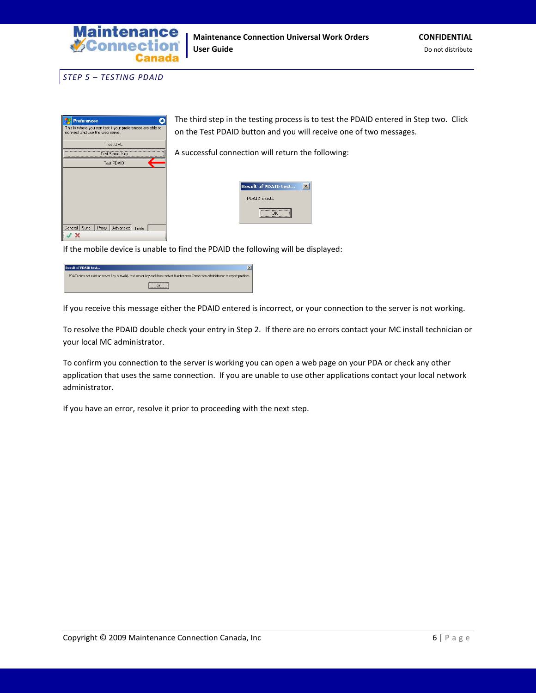

<span id="page-5-0"></span>*STEP 5 – TESTING PDAID*

| $\bullet$<br><b>Preferences</b>                                                               | The third step in the testing process is to test the PDAID entered in Step two. Click |
|-----------------------------------------------------------------------------------------------|---------------------------------------------------------------------------------------|
| This is where you can test if your preferences are able to<br>connect and use the web server. | on the Test PDAID button and you will receive one of two messages.                    |
| Test URL<br>Test Server Key<br>Test PDAID                                                     | A successful connection will return the following:                                    |
|                                                                                               | <b>Result of PDAID test</b><br>$\vert x \vert$<br>PDAID exists                        |
|                                                                                               | OK                                                                                    |
| General Sync Proxy Advanced Tests                                                             |                                                                                       |

If the mobile device is unable to find the PDAID the following will be displayed:

| <b>Result of PDAID test</b><br>×                                                                                                        |
|-----------------------------------------------------------------------------------------------------------------------------------------|
| PDAID does not exist or server key is invalid, test server key and then contact Maintenance Connection administrator to report problem. |
|                                                                                                                                         |

If you receive this message either the PDAID entered is incorrect, or your connection to the server is not working.

To resolve the PDAID double check your entry in Step 2. If there are no errors contact your MC install technician or your local MC administrator.

To confirm you connection to the server is working you can open a web page on your PDA or check any other application that uses the same connection. If you are unable to use other applications contact your local network administrator.

If you have an error, resolve it prior to proceeding with the next step.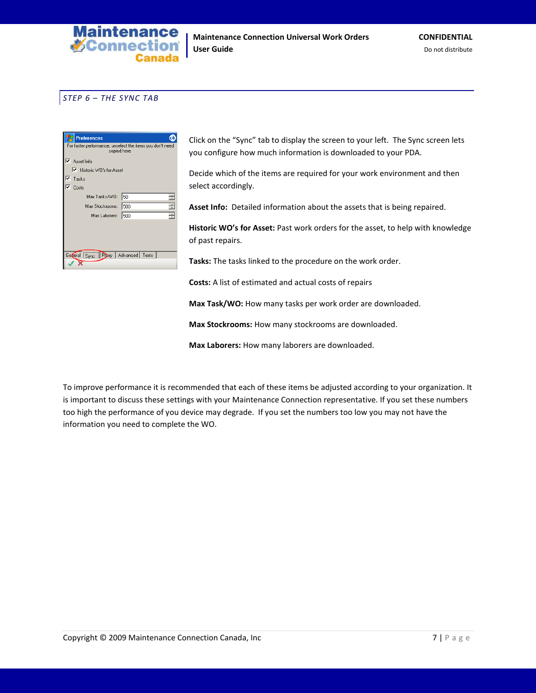

## <span id="page-6-0"></span>*STEP 6 – THE SYNC TAB*

| <b>Preferences</b>                                                        |     |  |  |
|---------------------------------------------------------------------------|-----|--|--|
| For faster performance, unselect the items you don't need<br>copied here. |     |  |  |
| ⊽<br>Asset Info                                                           |     |  |  |
| ■ Historic WO's for Asset                                                 |     |  |  |
| ⊽<br>Tasks                                                                |     |  |  |
| Costs                                                                     |     |  |  |
| Max Tasks/WO:                                                             | 50  |  |  |
| Max Stockrooms:                                                           | 500 |  |  |
| Max Laborers:                                                             | 500 |  |  |
|                                                                           |     |  |  |
|                                                                           |     |  |  |
|                                                                           |     |  |  |
| General Sync Princy   Advanced   Tests                                    |     |  |  |
|                                                                           |     |  |  |
|                                                                           |     |  |  |

Click on the "Sync" tab to display the screen to your left. The Sync screen lets you configure how much information is downloaded to your PDA.

Decide which of the items are required for your work environment and then select accordingly.

**Asset Info:** Detailed information about the assets that is being repaired.

**Historic WO's for Asset:** Past work orders for the asset, to help with knowledge of past repairs.

**Tasks:** The tasks linked to the procedure on the work order.

**Costs:** A list of estimated and actual costs of repairs

**Max Task/WO:** How many tasks per work order are downloaded.

**Max Stockrooms:** How many stockrooms are downloaded.

**Max Laborers:** How many laborers are downloaded.

To improve performance it is recommended that each of these items be adjusted according to your organization. It is important to discuss these settings with your Maintenance Connection representative. If you set these numbers too high the performance of you device may degrade. If you set the numbers too low you may not have the information you need to complete the WO.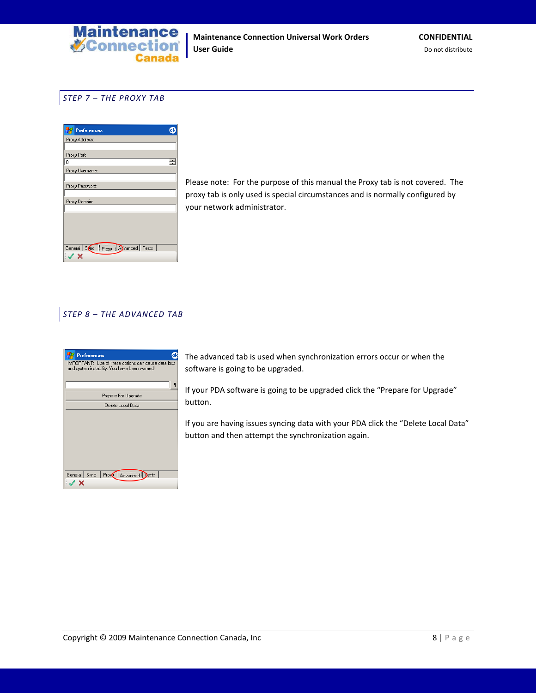

## <span id="page-7-0"></span>*STEP 7 – THE PROXY TAB*



Please note: For the purpose of this manual the Proxy tab is not covered. The proxy tab is only used is special circumstances and is normally configured by your network administrator.

## <span id="page-7-1"></span>*STEP 8 – THE ADVANCED TAB*



The advanced tab is used when synchronization errors occur or when the software is going to be upgraded.

If your PDA software is going to be upgraded click the "Prepare for Upgrade" button.

If you are having issues syncing data with your PDA click the "Delete Local Data" button and then attempt the synchronization again.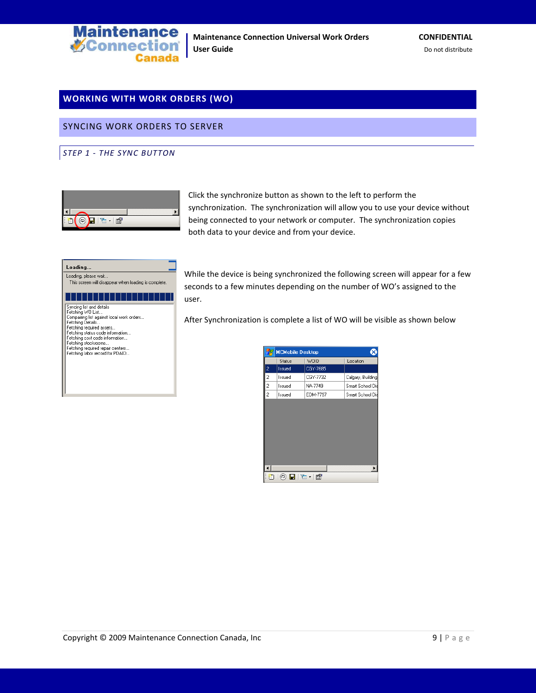

# <span id="page-8-0"></span>**WORKING WITH WORK ORDERS (WO)**

<span id="page-8-1"></span>SYNCING WORK ORDERS TO SERVER

<span id="page-8-2"></span>*STEP 1 - THE SYNC BUTTON*



Click the synchronize button as shown to the left to perform the synchronization. The synchronization will allow you to use your device without being connected to your network or computer. The synchronization copies both data to your device and from your device.

| Loading                                                             |
|---------------------------------------------------------------------|
| Loading, please wait                                                |
| This screen will disappear when loading is complete.                |
|                                                                     |
| Syncing list and details                                            |
| Fetching WO List<br>Compairing list against local work orders       |
| Fetching Details                                                    |
| Fetching required assets<br>Fetching status code information        |
| Fetching cost code information                                      |
| Fetching stockrooms                                                 |
| Fetching required repair centers<br>Fetching labor record for PDAID |
|                                                                     |
|                                                                     |
|                                                                     |
|                                                                     |

While the device is being synchronized the following screen will appear for a few seconds to a few minutes depending on the number of WO's assigned to the user.

After Synchronization is complete a list of WO will be visible as shown below

|                | <b>MCMobile Desktop</b> |          |                   |  |
|----------------|-------------------------|----------|-------------------|--|
|                | Status                  | WOID     | Location          |  |
| 2              | Issued                  | CGY-7685 |                   |  |
| $\overline{2}$ | Issued                  | CGY-7732 | Calgary, Building |  |
| 2              | Issued                  | NA-7749  | Smart School Dis  |  |
| $\overline{c}$ | Issued                  | EDM-7797 | Smart School Dis  |  |
|                |                         |          |                   |  |
|                |                         |          |                   |  |
|                | 00 H T + 6              |          |                   |  |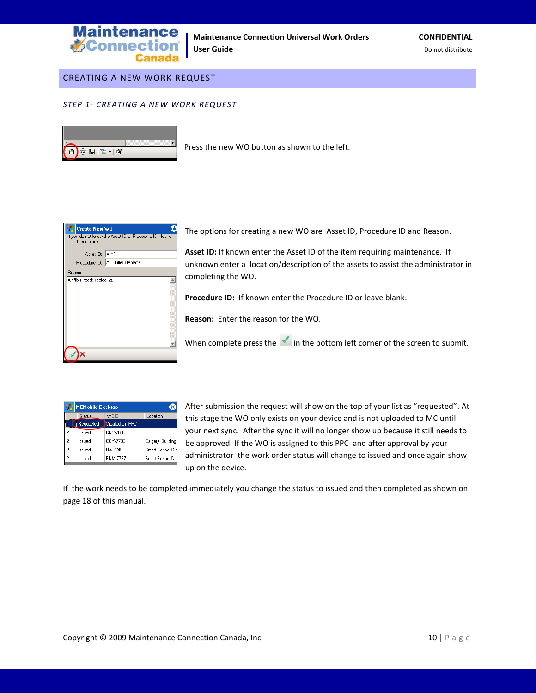

## <span id="page-9-0"></span>CREATING A NEW WORK REQUEST

<span id="page-9-1"></span>*STEP 1- CREATING A NEW WORK REQUEST*



Press the new WO button as shown to the left.

| Create New WO               |                                                         |
|-----------------------------|---------------------------------------------------------|
| it, or them, blank.         | If you do not know the Asset ID or Procedure ID - leave |
| Asset ID: AIR1              |                                                         |
|                             | Procedure ID: AIR Filter Replace                        |
| Reason:                     |                                                         |
| Air filter needs replacing. |                                                         |
|                             |                                                         |

The options for creating a new WO are Asset ID, Procedure ID and Reason.

**Asset ID:** If known enter the Asset ID of the item requiring maintenance. If unknown enter a location/description of the assets to assist the administrator in completing the WO.

**Procedure ID:** If known enter the Procedure ID or leave blank.

**Reason:** Enter the reason for the WO.

When complete press the in the bottom left corner of the screen to submit.

|                | <b>MCMobile Desktop</b> |                |                   |
|----------------|-------------------------|----------------|-------------------|
|                | WOID<br><b>Status</b>   |                | Location          |
|                | Requested               | Created On PPC |                   |
| 2              | Issued                  | CGY-7685       |                   |
| $\overline{c}$ | Issued                  | CGY-7732       | Calgary, Building |
| $\overline{c}$ | Issued                  | NA-7749        | Smart School Dis  |
| 2              | heuzzl                  | FDM-7797       | Smart School Dis  |

After submission the request will show on the top of your list as "requested". At this stage the WO only exists on your device and is not uploaded to MC until your next sync. After the sync it will no longer show up because it still needs to be approved. If the WO is assigned to this PPC and after approval by your administrator the work order status will change to issued and once again show up on the device.

If the work needs to be completed immediately you change the status to issued and then completed as shown on page 18 of this manual.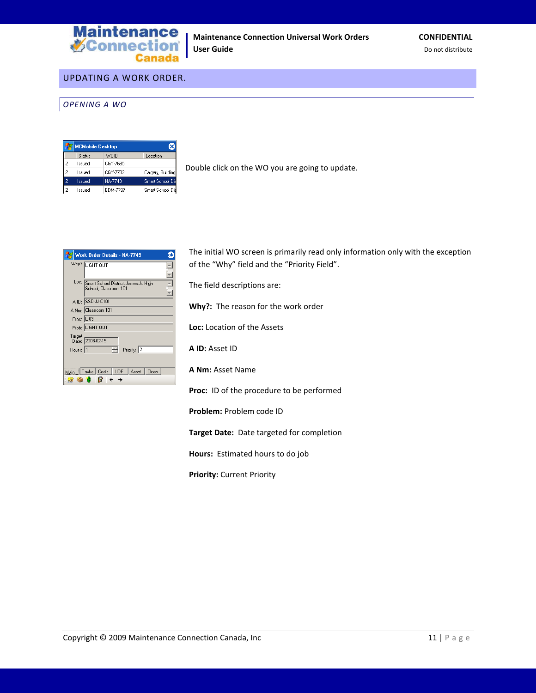

## <span id="page-10-0"></span>UPDATING A WORK ORDER.

#### <span id="page-10-1"></span>*OPENING A WO*

|   | <b>MCMobile Desktop</b> |          |                   |  |  |
|---|-------------------------|----------|-------------------|--|--|
|   | Status                  | WOID     | Location          |  |  |
|   | lssued                  | CGY-7685 |                   |  |  |
| 2 | lssued                  | CGY-7732 | Calgary, Building |  |  |
| 2 | Issued                  | NA-7749  | Smart School Dis  |  |  |
| 2 | lssued                  | EDM-7797 | Smart School Dis  |  |  |

Double click on the WO you are going to update.

|            | Work Order Details - NA-7749                                         |
|------------|----------------------------------------------------------------------|
|            | Why? LIGHT OUT                                                       |
| Loc:       | Smart School District, James Jr. High<br>School, Classroom 101       |
|            | A.ID: SSD-JJ-C101                                                    |
|            | A.Nm: Classroom 101                                                  |
| Proc: L-03 |                                                                      |
|            | Prob: LIGHT OUT                                                      |
| Target     | Date: 2008-02-15                                                     |
| Hours: 1   | Priority: 2                                                          |
| Main       | Tasks   Costs   UDF<br>  Asset<br>Close<br>$\bullet \bullet \bullet$ |

The initial WO screen is primarily read only information only with the exception of the "Why" field and the "Priority Field".

The field descriptions are:

**Why?:** The reason for the work order

**Loc:** Location of the Assets

**A ID:** Asset ID

**A Nm:** Asset Name

**Proc:** ID of the procedure to be performed

**Problem:** Problem code ID

**Target Date:** Date targeted for completion

**Hours:** Estimated hours to do job

**Priority:** Current Priority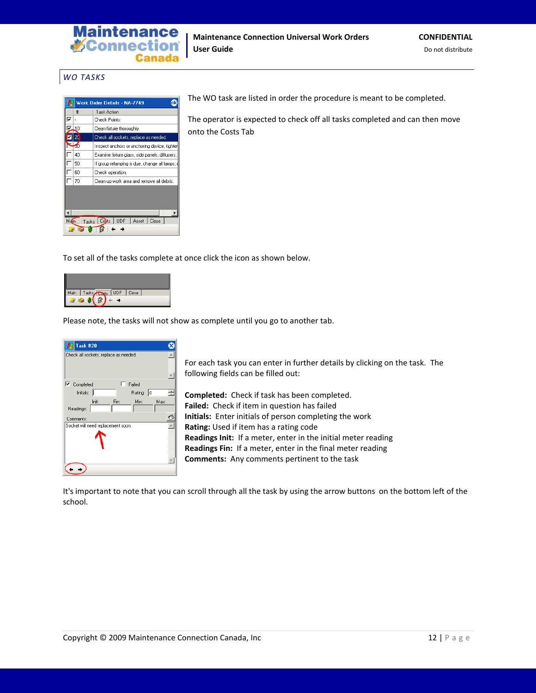

## <span id="page-11-0"></span>*WO TASKS*

|                                                                        |    | Work Order Details - NA-7749                   |  |
|------------------------------------------------------------------------|----|------------------------------------------------|--|
|                                                                        | #  | Task Action                                    |  |
| ⊽                                                                      |    | Check Points:                                  |  |
|                                                                        | 10 | Clean fixture thoroughly.                      |  |
|                                                                        | 20 | Check all sockets, replace as needed.          |  |
|                                                                        | Яſ | Inspect anchors or anchoring device, tighter   |  |
|                                                                        | 40 | Examine fixture glass, side panels, diffusers, |  |
|                                                                        | 50 | If group relamping is due, change all lamps;   |  |
|                                                                        | 60 | Check operation.                               |  |
|                                                                        | 70 | Clean up work area and remove all debris.      |  |
| <b>UDF</b><br>l Co <del>≩</del> ts∶<br>Close<br>Asset<br>M in<br>Tasks |    |                                                |  |

The WO task are listed in order the procedure is meant to be completed.

The operator is expected to check off all tasks completed and can then move onto the Costs Tab

To set all of the tasks complete at once click the icon as shown below.



Please note, the tasks will not show as complete until you go to another tab.



For each task you can enter in further details by clicking on the task. The following fields can be filled out:

**Completed:** Check if task has been completed. **Failed:** Check if item in question has failed **Initials:** Enter initials of person completing the work **Rating:** Used if item has a rating code **Readings Init:** If a meter, enter in the initial meter reading **Readings Fin:** If a meter, enter in the final meter reading **Comments:** Any comments pertinent to the task

It's important to note that you can scroll through all the task by using the arrow buttons on the bottom left of the school.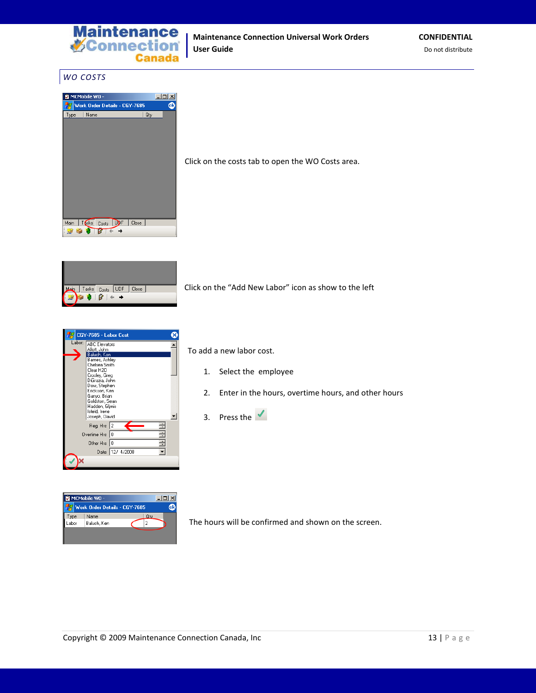

## <span id="page-12-0"></span>*WO COSTS*



Click on the costs tab to open the WO Costs area.



Click on the "Add New Labor" icon as show to the left

|        | CGY-7685 - Labor Cost                                                                                                                                                                                                 |                  |  |  |
|--------|-----------------------------------------------------------------------------------------------------------------------------------------------------------------------------------------------------------------------|------------------|--|--|
| Labor: | <b>ABC Elevators</b><br>Allott, John                                                                                                                                                                                  |                  |  |  |
|        | Baluch, Ken<br>Barnes, Ashley<br>Chelsea Smith<br>Clear H2O<br>Crosley, Greg<br>DiGrazia, John<br>Dow, Stephen<br>Erickson, Ken<br>Ganyo, Brian<br>Goldston, Sean<br>Hadden, Glynis<br>Isfeld, Irene<br>Joseph, David |                  |  |  |
|        | Reg. Hrs: 2                                                                                                                                                                                                           |                  |  |  |
|        | Overtime Hrs: 0                                                                                                                                                                                                       |                  |  |  |
|        | Other Hrs: 0                                                                                                                                                                                                          |                  |  |  |
|        |                                                                                                                                                                                                                       | Date: 12/ 4/2008 |  |  |
|        |                                                                                                                                                                                                                       |                  |  |  |



To add a new labor cost.

- 1. Select the employee
- 2. Enter in the hours, overtime hours, and other hours
- 3. Press the  $\sqrt{\ }$

The hours will be confirmed and shown on the screen.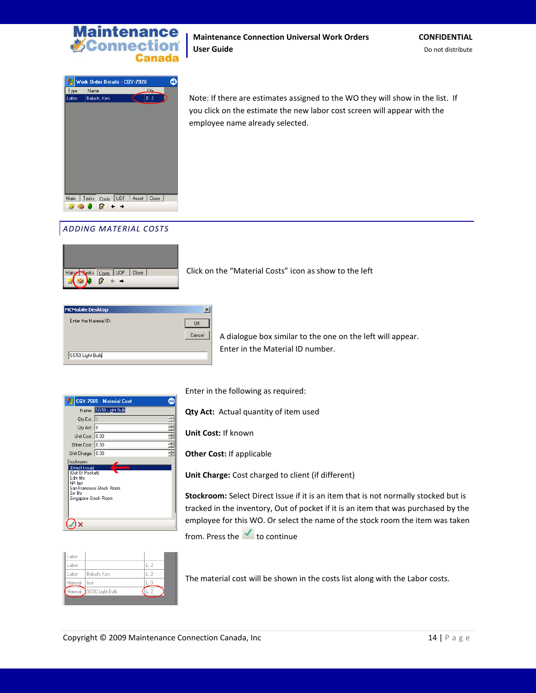

#### **Maintenance Connection Universal Work Orders CONFIDENTIAL User Guide** Do not distribute



Note: If there are estimates assigned to the WO they will show in the list. If you click on the estimate the new labor cost screen will appear with the employee name already selected.

# <span id="page-13-0"></span>*ADDING MATERIAL COSTS*



Click on the "Material Costs" icon as show to the left

| <b>MCMobile Desktop</b> |        |
|-------------------------|--------|
| Enter the Material ID:  | OΚ     |
|                         | Cancel |
| SG50 Light Bulb         |        |

A dialogue box similar to the one on the left will appear. Enter in the Material ID number.

|                                                                                               | CGY-7685 - Material Cost |  |
|-----------------------------------------------------------------------------------------------|--------------------------|--|
|                                                                                               | Name: SG50 Light Bulb    |  |
| Qty Est: $ 0 $                                                                                |                          |  |
| Qty Act: 0                                                                                    |                          |  |
| Unit Cost: 0.00                                                                               |                          |  |
| Other Cost: 0.00                                                                              |                          |  |
| Unit Charge: 0.00                                                                             |                          |  |
| Stockroom:                                                                                    |                          |  |
| (Direct Issue)<br>(Out Of Pocket)<br>Edm fifo.<br>NA last<br>Sin lifo<br>Singapore Stock Room | San Francisco Stock Room |  |
|                                                                                               |                          |  |

Enter in the following as required:

**Qty Act:** Actual quantity of item used

**Unit Cost:** If known

**Other Cost:** If applicable

**Unit Charge:** Cost charged to client (if different)

**Stockroom:** Select Direct Issue if it is an item that is not normally stocked but is tracked in the inventory, Out of pocket if it is an item that was purchased by the employee for this WO. Or select the name of the stock room the item was taken from. Press the  $\bullet$  to continue

| _abor    |                 |    |
|----------|-----------------|----|
| abor.    |                 | トウ |
| _abor    | Baluch, Ken     | トウ |
| Material | test            | ĿГ |
| Material | SG50 Light Bulb |    |
|          |                 |    |

The material cost will be shown in the costs list along with the Labor costs.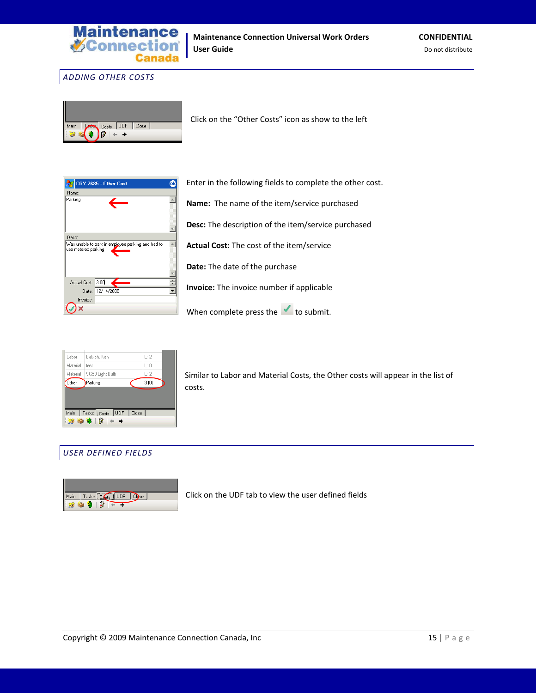

<span id="page-14-0"></span>*ADDING OTHER COSTS*



Click on the "Other Costs" icon as show to the left



Enter in the following fields to complete the other cost.

**Name:** The name of the item/service purchased

**Desc:** The description of the item/service purchased

**Actual Cost:** The cost of the item/service

**Date:** The date of the purchase

**Invoice:** The invoice number if applicable

When complete press the  $\checkmark$  to submit.



Similar to Labor and Material Costs, the Other costs will appear in the list of costs.

## <span id="page-14-1"></span>*USER DEFINED FIELDS*



Click on the UDF tab to view the user defined fields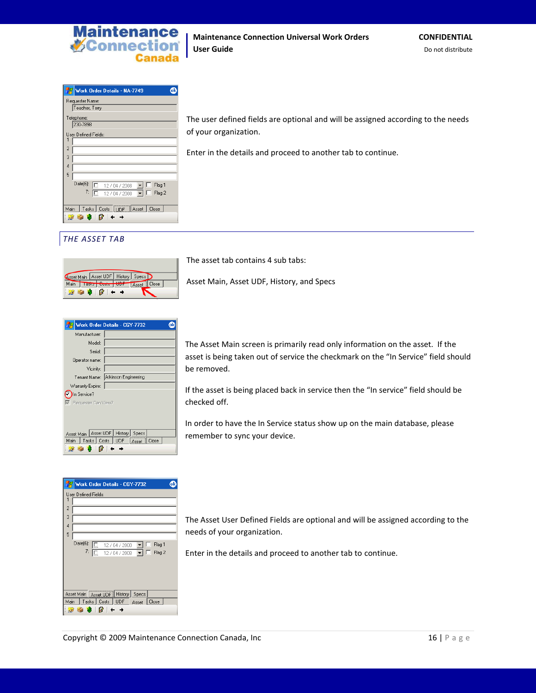

Enter in the details and proceed to another tab to continue.

| Work Order Details - NA-7749                                |  |  |  |
|-------------------------------------------------------------|--|--|--|
| Requester Name:                                             |  |  |  |
| Teacher, Terry                                              |  |  |  |
| Telephone:                                                  |  |  |  |
| 230-7898                                                    |  |  |  |
| User Defined Fields:                                        |  |  |  |
| 1                                                           |  |  |  |
| $\overline{2}$                                              |  |  |  |
| 3                                                           |  |  |  |
| 4                                                           |  |  |  |
| 5                                                           |  |  |  |
| $Date(6)$ :<br>匾<br>Flag 1<br>12 / 04 / 2008                |  |  |  |
| 7:<br>Flag 2<br>12/04/2008                                  |  |  |  |
|                                                             |  |  |  |
| Tasks Costs UDF Asset Close<br>Main                         |  |  |  |
| $\frac{1}{2}$ $\frac{1}{2}$ $\frac{1}{2}$ $\frac{1}{2}$ + + |  |  |  |

<span id="page-15-0"></span>*THE ASSET TAB*

|                   |             |                 | <b>Asset Main   Asset UDF   History   Specs  </b> |       |       |  |
|-------------------|-------------|-----------------|---------------------------------------------------|-------|-------|--|
| Main              |             | Tasks Costs UDF |                                                   | Asset | Close |  |
| <b>CONTRACTOR</b> | <b>PORT</b> | œ               |                                                   |       |       |  |

The asset tab contains 4 sub tabs:

of your organization.

Asset Main, Asset UDF, History, and Specs

|                                                       | Work Order Details - CGY-7732 |  |  |  |
|-------------------------------------------------------|-------------------------------|--|--|--|
| Manufacturer:                                         |                               |  |  |  |
| Model:                                                |                               |  |  |  |
| Serial:                                               |                               |  |  |  |
| Operator name:                                        |                               |  |  |  |
| Vicinity:                                             |                               |  |  |  |
| Tenant Name:                                          | Atkinson Engineering          |  |  |  |
| Warranty Expire:                                      |                               |  |  |  |
| In Service?                                           |                               |  |  |  |
| Requester Can View?                                   |                               |  |  |  |
|                                                       |                               |  |  |  |
|                                                       |                               |  |  |  |
|                                                       |                               |  |  |  |
| Asset UDF<br>History   Specs<br>Asset Main            |                               |  |  |  |
| Tasks   Costs<br><b>UDF</b><br>Close<br>Main<br>Asset |                               |  |  |  |
|                                                       |                               |  |  |  |

| Work Order Details - CGY-7732                                             | oŀ |
|---------------------------------------------------------------------------|----|
| User Defined Fields:<br>1                                                 |    |
| 2                                                                         |    |
| 3                                                                         |    |
| 4                                                                         |    |
| 5                                                                         |    |
| $Date(6)$ :<br>Flag 1<br>12 / 04 / 2008<br>7:<br>Flag 2<br>12 / 04 / 2008 |    |
| History Specs<br>Asset Main   Asset UDF                                   |    |
| Tasks   Costs<br><b>UDF</b><br>Close<br>Main.<br>Asset                    |    |
| $\bullet$ $\bullet$ $\bullet$<br>œ                                        |    |

The Asset Main screen is primarily read only information on the asset. If the asset is being taken out of service the checkmark on the "In Service" field should be removed.

The user defined fields are optional and will be assigned according to the needs

If the asset is being placed back in service then the "In service" field should be checked off.

In order to have the In Service status show up on the main database, please remember to sync your device.

The Asset User Defined Fields are optional and will be assigned according to the needs of your organization.

Enter in the details and proceed to another tab to continue.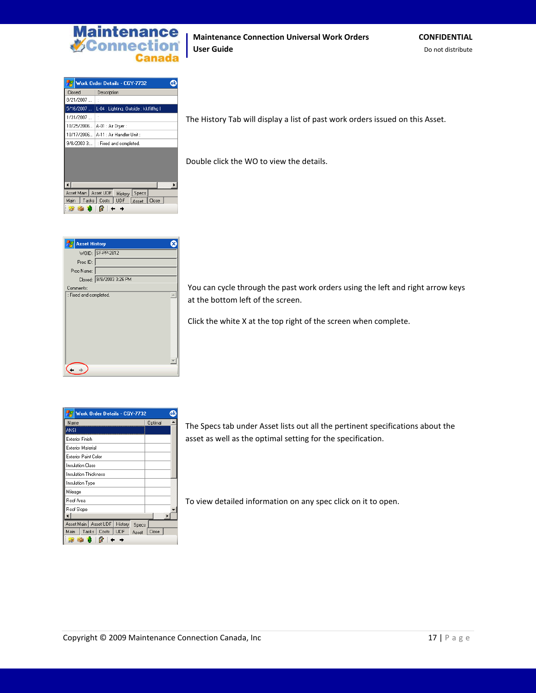

### **Maintenance Connection Universal Work Orders CONFIDENTIAL User Guide** Do not distribute

|                            | Work Order Details - CGY-7732<br>oŀ        |
|----------------------------|--------------------------------------------|
| Closed                     | Description                                |
| 8/21/2007                  |                                            |
| 5/16/2007                  | L-04 : Lighting, Outside : kkffiffhg l     |
| 1/31/2007                  | t                                          |
| 10/25/2006                 | A-01 : Air Dryer :                         |
| 10/17/2006                 | A-11 : Air Handler Unit :                  |
| 9/8/2003 3:                | : Fixed and completed.                     |
|                            |                                            |
| Asset Main   Asset UDF     | Specs<br>History                           |
| Main                       | Tasks   Costs<br>UDF<br>Close<br>i Asset ∃ |
| - 13<br><b>Participate</b> |                                            |

**Asset History**  $\bullet$ WOID: SF-PP-2812 Proc ID: Proc Name: Closed: 9/8/2003 3:26 PM Comments: Fixed and completed.  $\Box$  $\div$  +

The History Tab will display a list of past work orders issued on this Asset.

Double click the WO to view the details.

You can cycle through the past work orders using the left and right arrow keys at the bottom left of the screen.

Click the white X at the top right of the screen when complete.

| Work Order Details - CGY-7732              |         |
|--------------------------------------------|---------|
| Name                                       | Optimal |
| ANSI                                       |         |
| <b>Exterior Finish</b>                     |         |
| <b>Exterior Material</b>                   |         |
| <b>Exterior Paint Color</b>                |         |
| <b>Insulation Class</b>                    |         |
| <b>Insulation Thickness</b>                |         |
| Insulation Type                            |         |
| Mileage                                    |         |
| Roof Area                                  |         |
| Roof Slope                                 |         |
|                                            |         |
| Asset Main   Asset UDF<br>History<br>Specs |         |
| Tasks   Costs<br>UDF<br>Main<br>Asset      | Close   |
|                                            |         |

The Specs tab under Asset lists out all the pertinent specifications about the asset as well as the optimal setting for the specification.

To view detailed information on any spec click on it to open.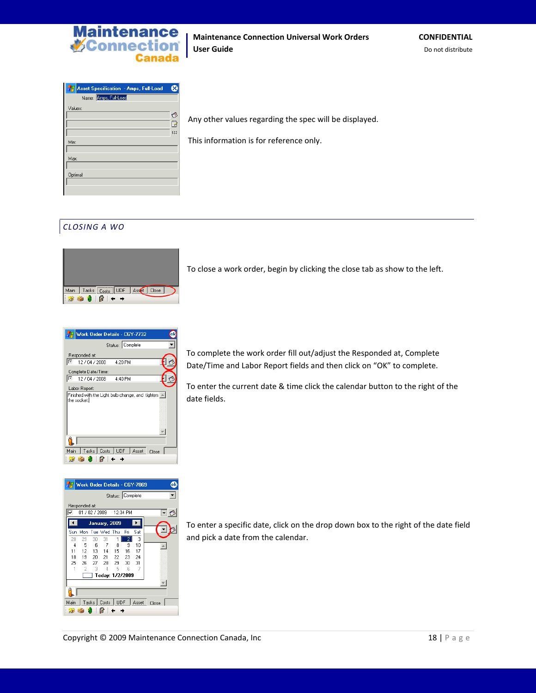

| Asset Specification - Amps, Full-Load | ×              |
|---------------------------------------|----------------|
| Name: Amps, Full-Load                 |                |
| Values:                               |                |
|                                       | O              |
|                                       | $\overline{B}$ |
|                                       | 123            |
| Min:                                  |                |
|                                       |                |
| Max:                                  |                |
|                                       |                |
| Optimal:                              |                |
|                                       |                |
|                                       |                |

Any other values regarding the spec will be displayed.

This information is for reference only.

# <span id="page-17-0"></span>*CLOSING A WO*



To close a work order, begin by clicking the close tab as show to the left.





To complete the work order fill out/adjust the Responded at, Complete Date/Time and Labor Report fields and then click on "OK" to complete.

To enter the current date & time click the calendar button to the right of the date fields.

To enter a specific date, click on the drop down box to the right of the date field and pick a date from the calendar.